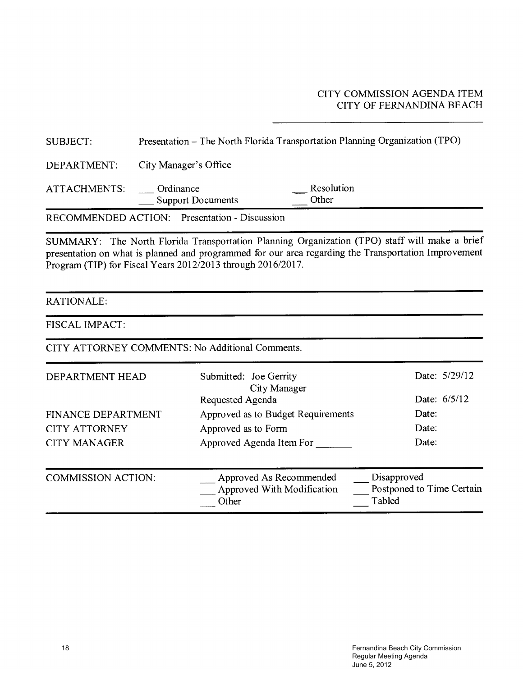#### CITY COMMISSION AGENDA ITEM CITY OF FERNANDINA BEACH

| <b>SUBJECT:</b>                                                                                                                                                                                                                                                      | Presentation - The North Florida Transportation Planning Organization (TPO) |                                                       |                                                    |  |  |  |  |  |  |  |  |
|----------------------------------------------------------------------------------------------------------------------------------------------------------------------------------------------------------------------------------------------------------------------|-----------------------------------------------------------------------------|-------------------------------------------------------|----------------------------------------------------|--|--|--|--|--|--|--|--|
| DEPARTMENT:                                                                                                                                                                                                                                                          | City Manager's Office                                                       |                                                       |                                                    |  |  |  |  |  |  |  |  |
| ATTACHMENTS:                                                                                                                                                                                                                                                         | Ordinance<br><b>Support Documents</b>                                       | Resolution<br>Other                                   |                                                    |  |  |  |  |  |  |  |  |
| <b>RECOMMENDED ACTION:</b> Presentation - Discussion                                                                                                                                                                                                                 |                                                                             |                                                       |                                                    |  |  |  |  |  |  |  |  |
| SUMMARY: The North Florida Transportation Planning Organization (TPO) staff will make a brief<br>presentation on what is planned and programmed for our area regarding the Transportation Improvement<br>Program (TIP) for Fiscal Years 2012/2013 through 2016/2017. |                                                                             |                                                       |                                                    |  |  |  |  |  |  |  |  |
| <b>RATIONALE:</b>                                                                                                                                                                                                                                                    |                                                                             |                                                       |                                                    |  |  |  |  |  |  |  |  |
| FISCAL IMPACT:                                                                                                                                                                                                                                                       |                                                                             |                                                       |                                                    |  |  |  |  |  |  |  |  |
| CITY ATTORNEY COMMENTS: No Additional Comments.                                                                                                                                                                                                                      |                                                                             |                                                       |                                                    |  |  |  |  |  |  |  |  |
| DEPARTMENT HEAD                                                                                                                                                                                                                                                      | Submitted: Joe Gerrity                                                      | City Manager                                          | Date: 5/29/12                                      |  |  |  |  |  |  |  |  |
|                                                                                                                                                                                                                                                                      | Requested Agenda                                                            |                                                       | Date: 6/5/12                                       |  |  |  |  |  |  |  |  |
| FINANCE DEPARTMENT                                                                                                                                                                                                                                                   |                                                                             | Approved as to Budget Requirements                    | Date:                                              |  |  |  |  |  |  |  |  |
| <b>CITY ATTORNEY</b>                                                                                                                                                                                                                                                 | Approved as to Form                                                         |                                                       | Date:                                              |  |  |  |  |  |  |  |  |
| <b>CITY MANAGER</b>                                                                                                                                                                                                                                                  | Approved Agenda Item For                                                    |                                                       | Date:                                              |  |  |  |  |  |  |  |  |
| <b>COMMISSION ACTION:</b>                                                                                                                                                                                                                                            | Other                                                                       | Approved As Recommended<br>Approved With Modification | Disapproved<br>Postponed to Time Certain<br>Tabled |  |  |  |  |  |  |  |  |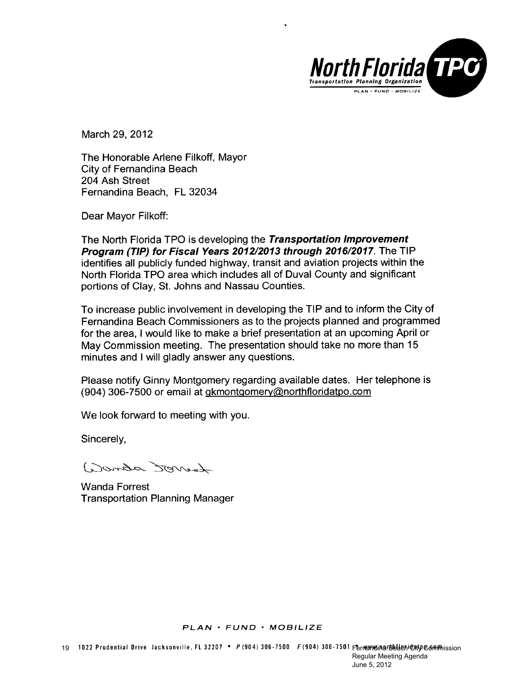

March 29, 2012

The Honorable Arlene Filkoff, Mayor City of Fernandina Beach 204 Ash Street Fernandina Beach, FL 32034

Dear Mayor Filkoff:

The North Florida TPO is developing the Transportation Improvement Program (TIP) for Fiscal Years 2012/2013 through 2016/2017. The TIP identifies all publicly funded highway, transit and aviation projects within the North Florida TPO area which includes all of Duval County and significant portions of Clay, St. Johns and Nassau Counties.

To increase public involvement in developing the TIP and to inform the City of Fernandina Beach Commissioners as to the projects planned and programmed for the area, I would like to make a brief presentation at an upcoming April or May Commission meeting. The presentation should take no more than 15 minutes and I will gladly answer any questions.

Please notify Ginny Montgomery regarding available dates. Her telephone is (904) 306-7500 or email at gkmontgomery@northfloridatpo.com

We look forward to meeting with you.

Sincerely,

Lourda Sterred.)

**Wanda Forrest Transportation Planning Manager**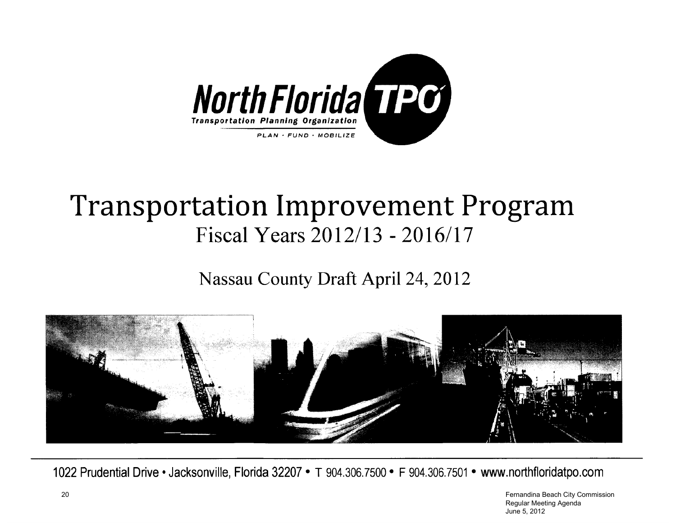

## **Transportation Improvement Program** Fiscal Years 2012/13 - 2016/17

Nassau County Draft April 24, 2012



1022 Prudential Drive • Jacksonville, Florida 32207 • T 904.306.7500 • F 904.306.7501 • www.northfloridatpo.com

 Fernandina Beach City Commission Regular Meeting Agenda June 5, 2012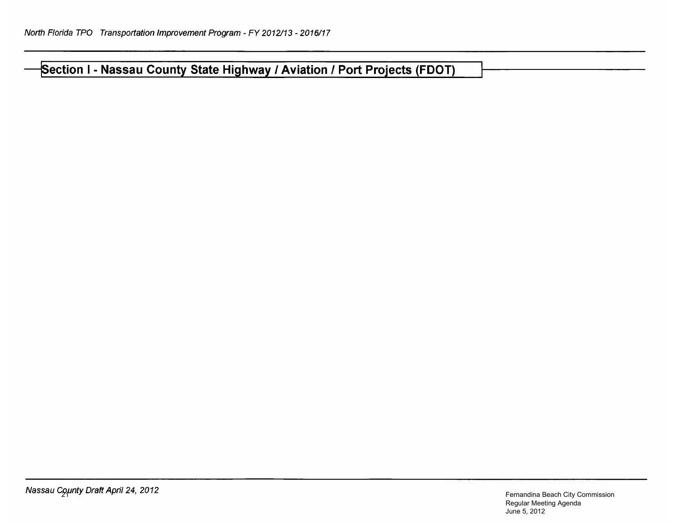Section I - Nassau County State Highway / Aviation / Port Projects (FDOT)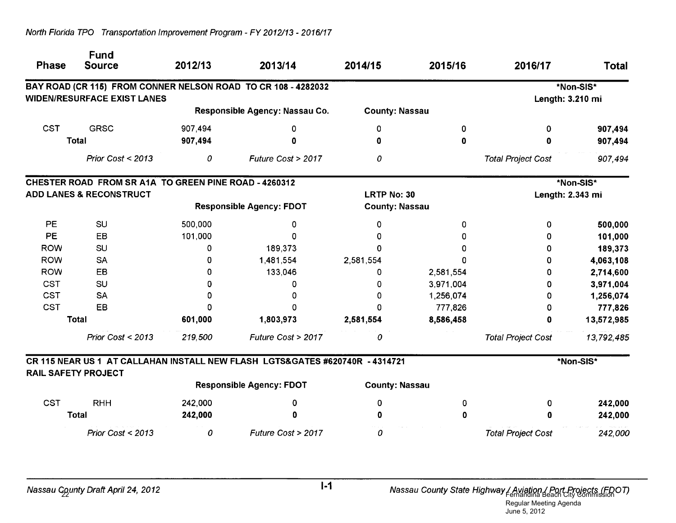| <b>Phase</b>                       | <b>Fund</b><br><b>Source</b>                          | 2012/13 | 2013/14                                                                      | 2014/15               | 2015/16   | 2016/17                   | <b>Total</b>     |
|------------------------------------|-------------------------------------------------------|---------|------------------------------------------------------------------------------|-----------------------|-----------|---------------------------|------------------|
|                                    |                                                       |         | BAY ROAD (CR 115) FROM CONNER NELSON ROAD TO CR 108 - 4282032                |                       |           |                           | *Non-SIS*        |
|                                    | <b>WIDEN/RESURFACE EXIST LANES</b>                    |         |                                                                              |                       |           |                           | Length: 3.210 mi |
|                                    |                                                       |         | Responsible Agency: Nassau Co.                                               | <b>County: Nassau</b> |           |                           |                  |
| <b>CST</b>                         | <b>GRSC</b>                                           | 907,494 | 0                                                                            | 0                     | 0         | 0                         | 907,494          |
|                                    | <b>Total</b>                                          | 907,494 | 0                                                                            | 0                     | 0         | 0                         | 907,494          |
|                                    | Prior Cost < 2013                                     | 0       | Future Cost > 2017                                                           | 0                     |           | <b>Total Project Cost</b> | 907,494          |
|                                    | CHESTER ROAD FROM SR A1A TO GREEN PINE ROAD - 4260312 |         |                                                                              |                       |           |                           | *Non-SIS*        |
| <b>ADD LANES &amp; RECONSTRUCT</b> |                                                       |         |                                                                              | <b>LRTP No: 30</b>    |           | Length: 2.343 mi          |                  |
|                                    |                                                       |         | <b>Responsible Agency: FDOT</b>                                              | <b>County: Nassau</b> |           |                           |                  |
| PE                                 | SU                                                    | 500,000 | 0                                                                            | 0                     | 0         | 0                         | 500,000          |
| <b>PE</b>                          | EB                                                    | 101,000 | O                                                                            | O.                    |           | 0                         | 101,000          |
| <b>ROW</b>                         | SU                                                    | 0       | 189,373                                                                      | $\Omega$              |           | 0                         | 189,373          |
| <b>ROW</b>                         | <b>SA</b>                                             | 0       | 1,481,554                                                                    | 2,581,554             |           | 0                         | 4,063,108        |
| <b>ROW</b>                         | EB                                                    | 0       | 133,046                                                                      | 0                     | 2,581,554 | 0                         | 2,714,600        |
| <b>CST</b>                         | SU                                                    | 0       | 0                                                                            | 0                     | 3,971,004 | 0                         | 3,971,004        |
| <b>CST</b>                         | <b>SA</b>                                             | Ω       | 0                                                                            | $\Omega$              | 1,256,074 | 0                         | 1,256,074        |
| <b>CST</b>                         | EB                                                    |         | n                                                                            | 0                     | 777,826   | 0                         | 777,826          |
|                                    | <b>Total</b>                                          | 601,000 | 1,803,973                                                                    | 2,581,554             | 8,586,458 | 0                         | 13,572,985       |
|                                    | Prior Cost < 2013                                     | 219,500 | Future Cost > 2017                                                           | 0                     |           | <b>Total Project Cost</b> | 13,792,485       |
|                                    |                                                       |         | CR 115 NEAR US 1 AT CALLAHAN INSTALL NEW FLASH LGTS&GATES #620740R - 4314721 |                       |           |                           | *Non-SIS*        |
| <b>RAIL SAFETY PROJECT</b>         |                                                       |         | <b>Responsible Agency: FDOT</b>                                              | <b>County: Nassau</b> |           |                           |                  |
| <b>CST</b>                         | <b>RHH</b>                                            | 242,000 | 0                                                                            | 0                     | 0         | 0                         | 242,000          |
|                                    | <b>Total</b>                                          | 242,000 | 0                                                                            | O                     | 0         | Ω                         | 242,000          |
|                                    | Prior Cost < 2013                                     | 0       | Future Cost > 2017                                                           | 0                     |           | <b>Total Project Cost</b> | 242,000          |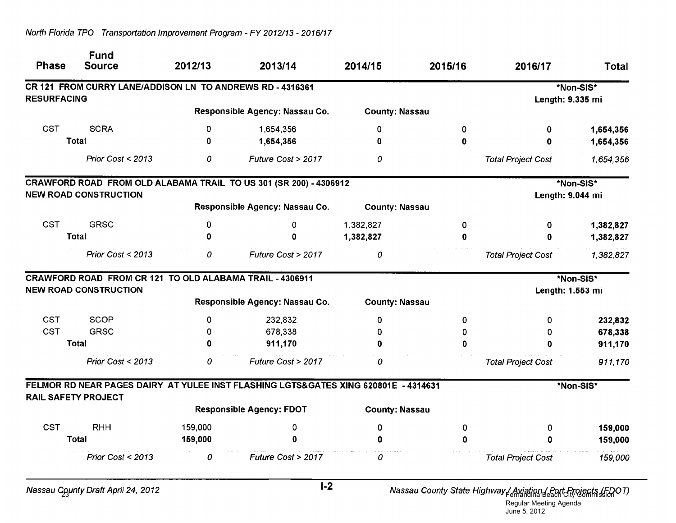| <b>Phase</b>       | <b>Fund</b><br><b>Source</b>                              | 2012/13      | 2013/14                                                                             | 2014/15               | 2015/16     | 2016/17                   | <b>Total</b> |
|--------------------|-----------------------------------------------------------|--------------|-------------------------------------------------------------------------------------|-----------------------|-------------|---------------------------|--------------|
|                    | CR 121 FROM CURRY LANE/ADDISON LN TO ANDREWS RD - 4316361 |              |                                                                                     |                       |             |                           | *Non-SIS*    |
| <b>RESURFACING</b> |                                                           |              | Responsible Agency: Nassau Co.                                                      | <b>County: Nassau</b> |             | Length: 9.335 mi          |              |
|                    |                                                           |              |                                                                                     |                       |             |                           |              |
| <b>CST</b>         | <b>SCRA</b>                                               | 0            | 1,654,356                                                                           | 0                     | 0           | 0                         | 1,654,356    |
|                    | <b>Total</b>                                              | $\mathbf{0}$ | 1,654,356                                                                           | 0                     | $\bf{0}$    | $\mathbf 0$               | 1,654,356    |
|                    | Prior Cost $<$ 2013                                       | 0            | Future Cost > 2017                                                                  | 0                     |             | <b>Total Project Cost</b> | 1,654,356    |
|                    |                                                           |              | CRAWFORD ROAD FROM OLD ALABAMA TRAIL TO US 301 (SR 200) - 4306912                   |                       |             |                           | *Non-SIS*    |
|                    | <b>NEW ROAD CONSTRUCTION</b>                              |              |                                                                                     |                       |             | Length: 9.044 mi          |              |
|                    |                                                           |              | Responsible Agency: Nassau Co.                                                      | <b>County: Nassau</b> |             |                           |              |
| <b>CST</b>         | <b>GRSC</b>                                               | 0            | 0                                                                                   | 1,382,827             | 0           | 0                         | 1,382,827    |
|                    | <b>Total</b>                                              | $\Omega$     | 0                                                                                   | 1,382,827             | 0           | o                         | 1,382,827    |
|                    | Prior Cost < 2013                                         | 0            | Future Cost > 2017                                                                  | 0                     |             | <b>Total Project Cost</b> | 1,382,827    |
|                    | CRAWFORD ROAD FROM CR 121 TO OLD ALABAMA TRAIL - 4306911  |              |                                                                                     |                       |             |                           | *Non-SIS*    |
|                    | <b>NEW ROAD CONSTRUCTION</b>                              |              |                                                                                     |                       |             | Length: 1.553 mi          |              |
|                    |                                                           |              | Responsible Agency: Nassau Co.                                                      | <b>County: Nassau</b> |             |                           |              |
| <b>CST</b>         | <b>SCOP</b>                                               | 0            | 232,832                                                                             | 0                     | 0           | 0                         | 232,832      |
| <b>CST</b>         | <b>GRSC</b>                                               | <sup>0</sup> | 678,338                                                                             | 0                     | 0           | 0                         | 678,338      |
|                    | <b>Total</b>                                              | O            | 911,170                                                                             | 0                     | 0           | 0                         | 911,170      |
|                    | Prior Cost < 2013                                         | 0            | Future Cost > 2017                                                                  | 0                     |             | <b>Total Project Cost</b> | 911,170      |
|                    |                                                           |              | FELMOR RD NEAR PAGES DAIRY AT YULEE INST FLASHING LGTS&GATES XING 620801E - 4314631 |                       |             |                           | *Non-SIS*    |
|                    | <b>RAIL SAFETY PROJECT</b>                                |              | <b>Responsible Agency: FDOT</b>                                                     | <b>County: Nassau</b> |             |                           |              |
| <b>CST</b>         | <b>RHH</b>                                                | 159,000      | 0                                                                                   | $\mathbf 0$           | 0           | 0                         | 159,000      |
|                    | <b>Total</b>                                              | 159,000      | $\mathbf 0$                                                                         | 0                     | $\mathbf 0$ | 0                         | 159,000      |
|                    | Prior Cost < 2013                                         | 0            | Future Cost > 2017                                                                  | 0                     |             | <b>Total Project Cost</b> | 159,000      |
|                    |                                                           |              | $\mathbf{a}$                                                                        |                       |             |                           |              |

Nassau County Draft April 24, 2012

Nassau County State Highway / Aviation / Port Projects (FDOT)

Regular Meeting Agenda June 5, 2012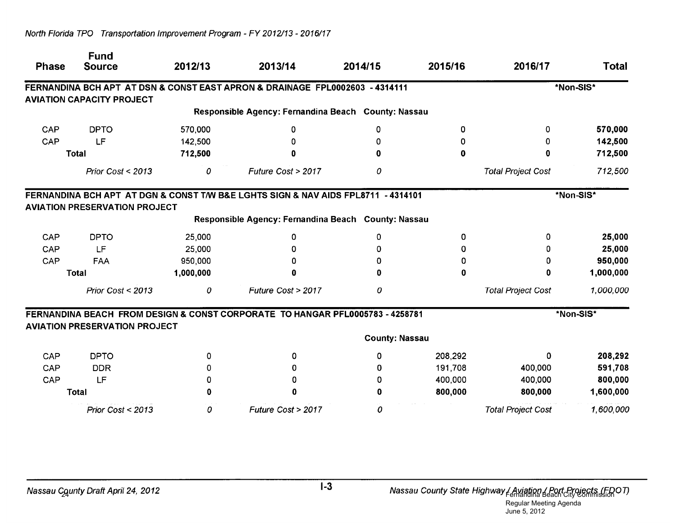| <b>Phase</b> | <b>Fund</b><br><b>Source</b>         | 2012/13   | 2013/14                                                                           | 2014/15               | 2015/16 | 2016/17                   | <b>Total</b> |
|--------------|--------------------------------------|-----------|-----------------------------------------------------------------------------------|-----------------------|---------|---------------------------|--------------|
|              |                                      |           | FERNANDINA BCH APT AT DSN & CONST EAST APRON & DRAINAGE FPL0002603 - 4314111      |                       |         |                           | *Non-SIS*    |
|              | <b>AVIATION CAPACITY PROJECT</b>     |           |                                                                                   |                       |         |                           |              |
|              |                                      |           | Responsible Agency: Fernandina Beach County: Nassau                               |                       |         |                           |              |
| CAP          | <b>DPTO</b>                          | 570,000   | O                                                                                 | 0                     | 0       | 0                         | 570,000      |
| CAP          | LF                                   | 142,500   |                                                                                   | Ω                     | 0       | 0                         | 142,500      |
|              | <b>Total</b>                         | 712,500   |                                                                                   |                       | 0       | 0                         | 712,500      |
|              | Prior Cost < 2013                    | 0         | Future Cost > 2017                                                                | 0                     |         | <b>Total Project Cost</b> | 712,500      |
|              | <b>AVIATION PRESERVATION PROJECT</b> |           | FERNANDINA BCH APT AT DGN & CONST T/W B&E LGHTS SIGN & NAV AIDS FPL8711 - 4314101 |                       |         |                           | *Non-SIS*    |
|              |                                      |           | Responsible Agency: Fernandina Beach County: Nassau                               |                       |         |                           |              |
| CAP          | <b>DPTO</b>                          | 25,000    | 0                                                                                 | 0                     | 0       | 0                         | 25,000       |
| CAP          | LF                                   | 25,000    | Ω                                                                                 | n                     | 0       |                           | 25,000       |
| CAP          | <b>FAA</b>                           | 950,000   | 0                                                                                 |                       | 0       | 0                         | 950,000      |
|              | <b>Total</b>                         | 1,000,000 | O                                                                                 |                       | 0       |                           | 1,000,000    |
|              | Prior Cost < 2013                    | 0         | Future Cost > 2017                                                                | 0                     |         | <b>Total Project Cost</b> | 1,000,000    |
|              | <b>AVIATION PRESERVATION PROJECT</b> |           | FERNANDINA BEACH FROM DESIGN & CONST CORPORATE TO HANGAR PFL0005783 - 4258781     |                       |         |                           | *Non-SIS*    |
|              |                                      |           |                                                                                   | <b>County: Nassau</b> |         |                           |              |
| CAP          | <b>DPTO</b>                          | O         | 0                                                                                 | 0                     | 208,292 | 0                         | 208,292      |
| CAP          | <b>DDR</b>                           | 0         | 0                                                                                 | 0                     | 191,708 | 400,000                   | 591,708      |
| <b>CAP</b>   | LF                                   | o         | $\Omega$                                                                          | n                     | 400,000 | 400,000                   | 800,000      |
|              | <b>Total</b>                         |           | 0                                                                                 | 0                     | 800,000 | 800,000                   | 1,600,000    |
|              | Prior Cost < 2013                    | 0         | Future Cost > 2017                                                                | 0                     |         | <b>Total Project Cost</b> | 1,600,000    |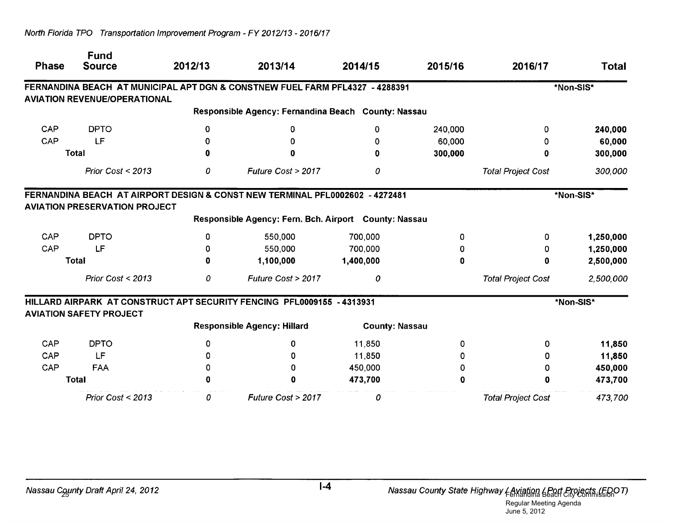| <b>Phase</b> | <b>Fund</b><br><b>Source</b>         | 2012/13 | 2013/14                                                                      | 2014/15               | 2015/16 | 2016/17                   | Total     |
|--------------|--------------------------------------|---------|------------------------------------------------------------------------------|-----------------------|---------|---------------------------|-----------|
|              |                                      |         | FERNANDINA BEACH AT MUNICIPAL APT DGN & CONSTNEW FUEL FARM PFL4327 - 4288391 |                       |         |                           | *Non-SIS* |
|              | <b>AVIATION REVENUE/OPERATIONAL</b>  |         |                                                                              |                       |         |                           |           |
|              |                                      |         | Responsible Agency: Fernandina Beach County: Nassau                          |                       |         |                           |           |
| CAP          | <b>DPTO</b>                          | 0       | 0                                                                            | 0                     | 240,000 | 0                         | 240,000   |
| CAP          | LF                                   |         | 0                                                                            | 0                     | 60,000  | 0                         | 60,000    |
|              | <b>Total</b>                         | 0       | 0                                                                            | 0                     | 300,000 | 0                         | 300,000   |
|              | Prior Cost < 2013                    | 0       | Future Cost > 2017                                                           | 0                     |         | <b>Total Project Cost</b> | 300,000   |
|              | <b>AVIATION PRESERVATION PROJECT</b> |         | FERNANDINA BEACH AT AIRPORT DESIGN & CONST NEW TERMINAL PFL0002602 - 4272481 |                       |         |                           | *Non-SIS* |
|              |                                      |         | Responsible Agency: Fern. Bch. Airport County: Nassau                        |                       |         |                           |           |
| CAP          | <b>DPTO</b>                          | 0       | 550,000                                                                      | 700,000               | 0       | 0                         | 1,250,000 |
| CAP          | LF                                   | 0       | 550,000                                                                      | 700,000               | 0       | 0                         | 1,250,000 |
|              | <b>Total</b>                         | 0       | 1,100,000                                                                    | 1,400,000             | 0       | 0                         | 2,500,000 |
|              | Prior Cost < 2013                    | 0       | Future Cost > 2017                                                           | 0                     |         | <b>Total Project Cost</b> | 2,500,000 |
|              | <b>AVIATION SAFETY PROJECT</b>       |         | HILLARD AIRPARK AT CONSTRUCT APT SECURITY FENCING PFL0009155 - 4313931       |                       |         |                           | *Non-SIS* |
|              |                                      |         | <b>Responsible Agency: Hillard</b>                                           | <b>County: Nassau</b> |         |                           |           |
| CAP          | <b>DPTO</b>                          | 0       | 0                                                                            | 11,850                | 0       | 0                         | 11,850    |
| CAP          | LF.                                  | 0       | 0                                                                            | 11,850                | O.      | 0                         | 11,850    |
| CAP          | FAA                                  | 0       | 0                                                                            | 450,000               | 0       | 0                         | 450,000   |
|              | <b>Total</b>                         |         | 0                                                                            | 473,700               | 0       | 0                         | 473,700   |
|              | Prior Cost < 2013                    | 0       | Future Cost > 2017                                                           | 0                     |         | <b>Total Project Cost</b> | 473,700   |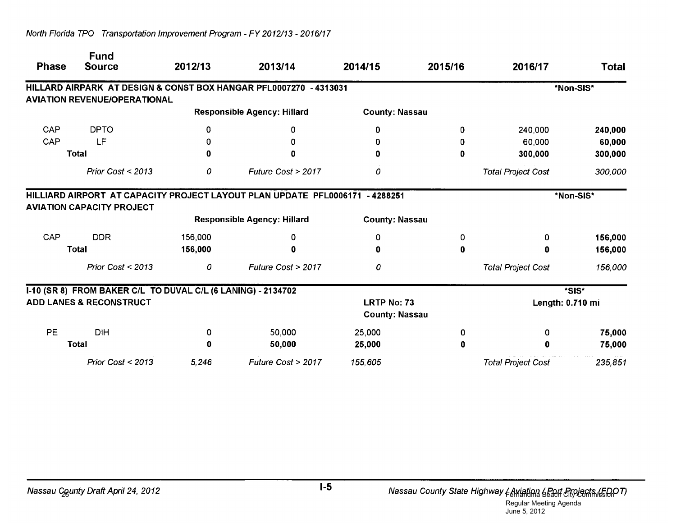| <b>Phase</b> | <b>Fund</b><br><b>Source</b>                                 | 2012/13 | 2013/14                                                                      | 2014/15                                     | 2015/16 | 2016/17                   | Total     |
|--------------|--------------------------------------------------------------|---------|------------------------------------------------------------------------------|---------------------------------------------|---------|---------------------------|-----------|
|              | <b>AVIATION REVENUE/OPERATIONAL</b>                          |         | HILLARD AIRPARK AT DESIGN & CONST BOX HANGAR PFL0007270 - 4313031            |                                             |         |                           | *Non-SIS* |
|              |                                                              |         | <b>Responsible Agency: Hillard</b>                                           | <b>County: Nassau</b>                       |         |                           |           |
| CAP          | <b>DPTO</b>                                                  | 0       | 0                                                                            | 0                                           | 0       | 240,000                   | 240,000   |
| CAP          | LF                                                           | 0       | 0                                                                            |                                             | 0       | 60,000                    | 60,000    |
|              | <b>Total</b>                                                 | 0       | 0                                                                            |                                             | 0       | 300,000                   | 300,000   |
|              | Prior Cost < 2013                                            | 0       | Future Cost > 2017                                                           | 0                                           |         | <b>Total Project Cost</b> | 300,000   |
|              |                                                              |         | HILLIARD AIRPORT AT CAPACITY PROJECT LAYOUT PLAN UPDATE PFL0006171 - 4288251 |                                             |         |                           | *Non-SIS* |
|              | <b>AVIATION CAPACITY PROJECT</b>                             |         | <b>Responsible Agency: Hillard</b>                                           | <b>County: Nassau</b>                       |         |                           |           |
| CAP          | <b>DDR</b>                                                   | 156,000 | 0                                                                            | 0                                           | 0       | 0                         | 156,000   |
|              | <b>Total</b>                                                 | 156,000 | 0                                                                            |                                             | 0       | 0                         | 156,000   |
|              | Prior Cost < 2013                                            | 0       | Future Cost > 2017                                                           | 0                                           |         | <b>Total Project Cost</b> | 156,000   |
|              | I-10 (SR 8) FROM BAKER C/L TO DUVAL C/L (6 LANING) - 2134702 |         |                                                                              |                                             |         |                           | *SIS*     |
|              | <b>ADD LANES &amp; RECONSTRUCT</b>                           |         |                                                                              | <b>LRTP No: 73</b><br><b>County: Nassau</b> |         | Length: 0.710 mi          |           |
| PE           | <b>DIH</b>                                                   | 0       | 50,000                                                                       | 25,000                                      | 0       | 0                         | 75,000    |
|              | <b>Total</b>                                                 |         | 50,000                                                                       | 25,000                                      | 0       | 0                         | 75,000    |
|              | Prior Cost < 2013                                            | 5,246   | Future Cost > 2017                                                           | 155,605                                     |         | <b>Total Project Cost</b> | 235,851   |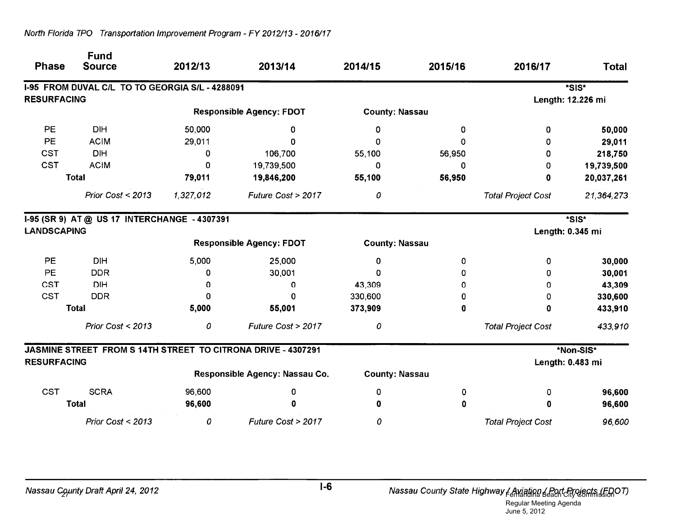| <b>Phase</b>       | <b>Fund</b><br><b>Source</b>                    | 2012/13   | 2013/14                                                      | 2014/15               | 2015/16 | 2016/17                   | <b>Total</b>      |
|--------------------|-------------------------------------------------|-----------|--------------------------------------------------------------|-----------------------|---------|---------------------------|-------------------|
|                    | I-95 FROM DUVAL C/L TO TO GEORGIA S/L - 4288091 |           |                                                              |                       |         |                           | *SIS*             |
| <b>RESURFACING</b> |                                                 |           |                                                              |                       |         |                           | Length: 12.226 mi |
|                    |                                                 |           | <b>Responsible Agency: FDOT</b>                              | <b>County: Nassau</b> |         |                           |                   |
| PE                 | <b>DIH</b>                                      | 50,000    | 0                                                            | 0                     | 0       | 0                         | 50,000            |
| <b>PE</b>          | <b>ACIM</b>                                     | 29,011    | $\Omega$                                                     | $\Omega$              | 0       | 0                         | 29,011            |
| <b>CST</b>         | <b>DIH</b>                                      | 0         | 106,700                                                      | 55,100                | 56,950  | 0                         | 218,750           |
| <b>CST</b>         | <b>ACIM</b>                                     | 0         | 19,739,500                                                   | 0                     | 0       | 0                         | 19,739,500        |
|                    | <b>Total</b>                                    | 79,011    | 19,846,200                                                   | 55,100                | 56,950  | 0                         | 20,037,261        |
|                    | Prior Cost < 2013                               | 1,327,012 | Future Cost > 2017                                           | 0                     |         | <b>Total Project Cost</b> | 21,364,273        |
|                    | I-95 (SR 9) AT @ US 17 INTERCHANGE - 4307391    |           |                                                              |                       |         |                           | *SIS*             |
| <b>LANDSCAPING</b> |                                                 |           |                                                              |                       |         |                           | Length: 0.345 mi  |
|                    |                                                 |           | <b>Responsible Agency: FDOT</b>                              | <b>County: Nassau</b> |         |                           |                   |
| PE                 | <b>DIH</b>                                      | 5,000     | 25,000                                                       | 0                     | 0       | 0                         | 30,000            |
| PE                 | <b>DDR</b>                                      | 0         | 30,001                                                       | Ω                     | 0       | 0                         | 30,001            |
| <b>CST</b>         | <b>DIH</b>                                      | 0         | 0                                                            | 43,309                | 0       | 0                         | 43,309            |
| <b>CST</b>         | <b>DDR</b>                                      | 0         | 0                                                            | 330,600               | 0       | 0                         | 330,600           |
|                    | <b>Total</b>                                    | 5,000     | 55,001                                                       | 373,909               | 0       | 0                         | 433,910           |
|                    | Prior Cost < 2013                               | 0         | Future Cost > 2017                                           | 0                     |         | <b>Total Project Cost</b> | 433,910           |
|                    |                                                 |           | JASMINE STREET FROM S 14TH STREET TO CITRONA DRIVE - 4307291 |                       |         |                           | *Non-SIS*         |
| <b>RESURFACING</b> |                                                 |           |                                                              |                       |         |                           | Length: 0.483 mi  |
|                    |                                                 |           | Responsible Agency: Nassau Co.                               | <b>County: Nassau</b> |         |                           |                   |
| <b>CST</b>         | <b>SCRA</b>                                     | 96,600    | 0                                                            | 0                     | 0       | 0                         | 96,600            |
|                    | <b>Total</b>                                    | 96,600    | 0                                                            | 0                     | 0       | 0                         | 96,600            |
|                    | Prior Cost < 2013                               | 0         | Future Cost > 2017                                           | 0                     |         | <b>Total Project Cost</b> | 96,600            |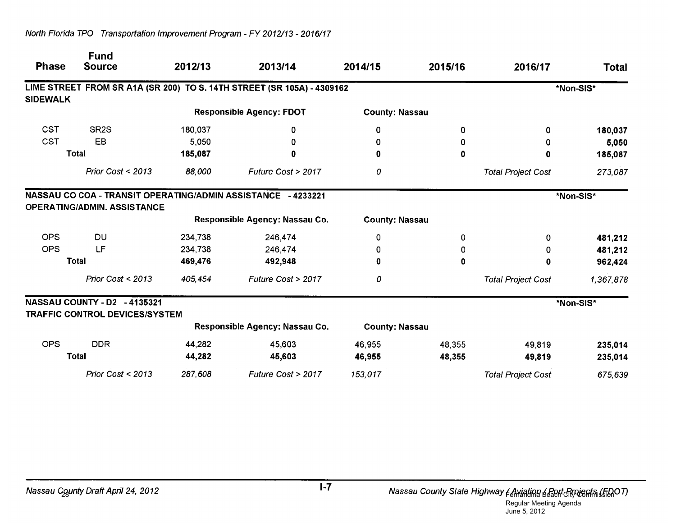| <b>Phase</b>    | <b>Fund</b><br><b>Source</b>                                          | 2012/13 | 2013/14                                                                | 2014/15               | 2015/16 | 2016/17                   | Total     |
|-----------------|-----------------------------------------------------------------------|---------|------------------------------------------------------------------------|-----------------------|---------|---------------------------|-----------|
|                 |                                                                       |         | LIME STREET FROM SR A1A (SR 200) TO S. 14TH STREET (SR 105A) - 4309162 |                       |         |                           | *Non-SIS* |
| <b>SIDEWALK</b> |                                                                       |         |                                                                        |                       |         |                           |           |
|                 |                                                                       |         | <b>Responsible Agency: FDOT</b>                                        | <b>County: Nassau</b> |         |                           |           |
| <b>CST</b>      | SR <sub>2</sub> S                                                     | 180,037 | 0                                                                      | 0                     | 0       | 0                         | 180,037   |
| <b>CST</b>      | EB                                                                    | 5,050   | 0                                                                      |                       | 0       | 0                         | 5,050     |
|                 | <b>Total</b>                                                          | 185,087 | 0                                                                      |                       | 0       | 0                         | 185,087   |
|                 | Prior Cost < 2013                                                     | 88,000  | Future Cost > 2017                                                     | 0                     |         | <b>Total Project Cost</b> | 273,087   |
|                 | <b>OPERATING/ADMIN. ASSISTANCE</b>                                    |         | NASSAU CO COA - TRANSIT OPERATING/ADMIN ASSISTANCE - 4233221           |                       |         |                           | *Non-SIS* |
|                 |                                                                       |         | Responsible Agency: Nassau Co.                                         | <b>County: Nassau</b> |         |                           |           |
| <b>OPS</b>      | <b>DU</b>                                                             | 234,738 | 246,474                                                                | 0                     | 0       | 0                         | 481,212   |
| <b>OPS</b>      | LF                                                                    | 234,738 | 246,474                                                                | 0                     | 0       | 0                         | 481,212   |
|                 | <b>Total</b>                                                          | 469,476 | 492,948                                                                | 0                     | 0       | $\mathbf 0$               | 962,424   |
|                 | Prior Cost < 2013                                                     | 405,454 | Future Cost > 2017                                                     | 0                     |         | <b>Total Project Cost</b> | 1,367,878 |
|                 | NASSAU COUNTY - D2 - 4135321<br><b>TRAFFIC CONTROL DEVICES/SYSTEM</b> |         |                                                                        |                       |         |                           | *Non-SIS* |
|                 |                                                                       |         | Responsible Agency: Nassau Co.                                         | <b>County: Nassau</b> |         |                           |           |
| <b>OPS</b>      | <b>DDR</b>                                                            | 44,282  | 45,603                                                                 | 46,955                | 48,355  | 49,819                    | 235,014   |
|                 | Total                                                                 | 44,282  | 45,603                                                                 | 46,955                | 48,355  | 49,819                    | 235,014   |
|                 | Prior Cost < 2013                                                     | 287,608 | Future Cost > 2017                                                     | 153,017               |         | <b>Total Project Cost</b> | 675,639   |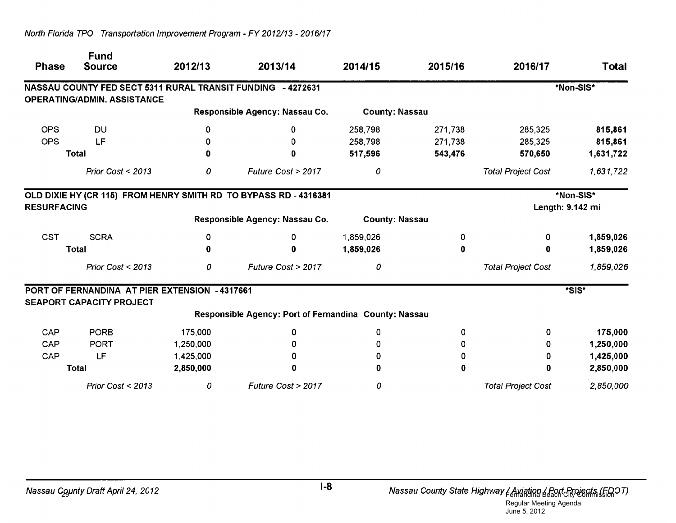| <b>Phase</b>       | <b>Fund</b><br><b>Source</b>                   | 2012/13   | 2013/14                                                          | 2014/15               | 2015/16 | 2016/17                   | <b>Total</b> |
|--------------------|------------------------------------------------|-----------|------------------------------------------------------------------|-----------------------|---------|---------------------------|--------------|
|                    |                                                |           | NASSAU COUNTY FED SECT 5311 RURAL TRANSIT FUNDING - 4272631      |                       |         |                           | *Non-SIS*    |
|                    | <b>OPERATING/ADMIN. ASSISTANCE</b>             |           |                                                                  |                       |         |                           |              |
|                    |                                                |           | Responsible Agency: Nassau Co.                                   | <b>County: Nassau</b> |         |                           |              |
| <b>OPS</b>         | DU                                             | 0         | 0                                                                | 258,798               | 271,738 | 285,325                   | 815,861      |
| <b>OPS</b>         | LF                                             | 0         | 0                                                                | 258,798               | 271,738 | 285,325                   | 815,861      |
|                    | <b>Total</b>                                   | 0         | 0                                                                | 517,596               | 543,476 | 570,650                   | 1,631,722    |
|                    | Prior Cost $<$ 2013                            | 0         | Future Cost > 2017                                               | 0                     |         | <b>Total Project Cost</b> | 1,631,722    |
|                    |                                                |           | OLD DIXIE HY (CR 115) FROM HENRY SMITH RD TO BYPASS RD - 4316381 |                       |         |                           | *Non-SIS*    |
| <b>RESURFACING</b> |                                                |           |                                                                  |                       |         | Length: 9.142 mi          |              |
|                    |                                                |           | Responsible Agency: Nassau Co.                                   | <b>County: Nassau</b> |         |                           |              |
| <b>CST</b>         | <b>SCRA</b>                                    | 0         | 0                                                                | 1,859,026             | 0       | 0                         | 1,859,026    |
|                    | <b>Total</b>                                   | 0         | 0                                                                | 1,859,026             | 0       | 0                         | 1,859,026    |
|                    | Prior Cost < 2013                              | 0         | Future Cost > 2017                                               | 0                     |         | <b>Total Project Cost</b> | 1,859,026    |
|                    | PORT OF FERNANDINA AT PIER EXTENSION - 4317661 |           |                                                                  |                       |         |                           | *SIS*        |
|                    | <b>SEAPORT CAPACITY PROJECT</b>                |           |                                                                  |                       |         |                           |              |
|                    |                                                |           | Responsible Agency: Port of Fernandina County: Nassau            |                       |         |                           |              |
| CAP                | <b>PORB</b>                                    | 175,000   | 0                                                                | 0                     | 0       | 0                         | 175,000      |
| CAP                | <b>PORT</b>                                    | 1,250,000 | 0                                                                |                       | 0       | 0                         | 1,250,000    |
| CAP                | LF                                             | 1,425,000 | 0                                                                |                       | 0       | 0                         | 1,425,000    |
|                    | <b>Total</b>                                   | 2,850,000 | 0                                                                |                       | 0       | 0                         | 2,850,000    |
|                    | Prior Cost < 2013                              | 0         | Future Cost > 2017                                               | 0                     |         | <b>Total Project Cost</b> | 2,850,000    |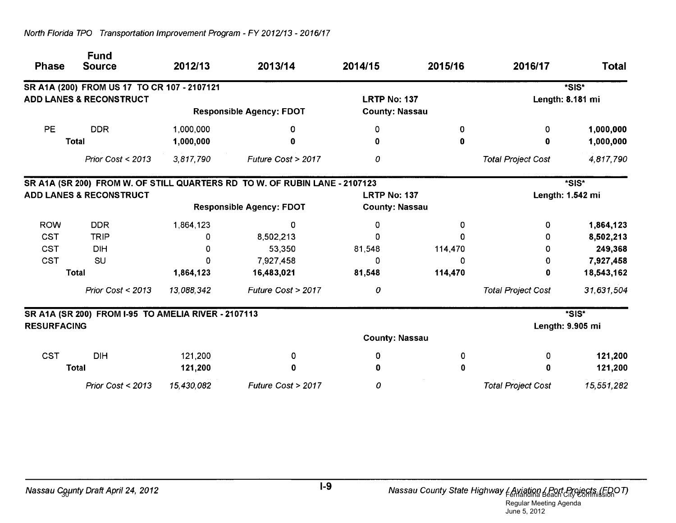| <b>Phase</b>       | <b>Fund</b><br><b>Source</b>                        | 2012/13    | 2013/14                                                                    | 2014/15               | 2015/16          | 2016/17                   | Total            |
|--------------------|-----------------------------------------------------|------------|----------------------------------------------------------------------------|-----------------------|------------------|---------------------------|------------------|
|                    | SR A1A (200) FROM US 17 TO CR 107 - 2107121         |            |                                                                            |                       |                  |                           | *SIS*            |
|                    | <b>ADD LANES &amp; RECONSTRUCT</b>                  |            |                                                                            | <b>LRTP No: 137</b>   |                  |                           | Length: 8.181 mi |
|                    |                                                     |            | <b>Responsible Agency: FDOT</b>                                            | <b>County: Nassau</b> |                  |                           |                  |
| <b>PE</b>          | <b>DDR</b>                                          | 1,000,000  | 0                                                                          | 0                     | 0                | 0                         | 1,000,000        |
|                    | <b>Total</b>                                        | 1,000,000  | 0                                                                          | 0                     | 0                | 0                         | 1,000,000        |
|                    | Prior Cost < 2013                                   | 3,817,790  | Future Cost > 2017                                                         | 0                     |                  | <b>Total Project Cost</b> | 4,817,790        |
|                    |                                                     |            | SR A1A (SR 200) FROM W. OF STILL QUARTERS RD TO W. OF RUBIN LANE - 2107123 |                       |                  |                           | *SIS*            |
|                    | <b>ADD LANES &amp; RECONSTRUCT</b>                  |            | <b>LRTP No: 137</b>                                                        |                       | Length: 1.542 mi |                           |                  |
|                    |                                                     |            | <b>Responsible Agency: FDOT</b>                                            | <b>County: Nassau</b> |                  |                           |                  |
| <b>ROW</b>         | <b>DDR</b>                                          | 1,864,123  | 0                                                                          | 0                     | 0                | 0                         | 1,864,123        |
| <b>CST</b>         | <b>TRIP</b>                                         |            | 8,502,213                                                                  | 0                     | 0                | 0                         | 8,502,213        |
| <b>CST</b>         | <b>DIH</b>                                          | O          | 53,350                                                                     | 81,548                | 114,470          | 0                         | 249,368          |
| <b>CST</b>         | SU                                                  |            | 7,927,458                                                                  | 0                     | 0                | 0                         | 7,927,458        |
|                    | <b>Total</b>                                        | 1,864,123  | 16,483,021                                                                 | 81,548                | 114,470          | 0                         | 18,543,162       |
|                    | Prior Cost < 2013                                   | 13,088,342 | Future Cost > 2017                                                         | 0                     |                  | <b>Total Project Cost</b> | 31,631,504       |
|                    | SR A1A (SR 200) FROM I-95 TO AMELIA RIVER - 2107113 |            |                                                                            |                       |                  |                           | *SIS*            |
| <b>RESURFACING</b> |                                                     |            |                                                                            |                       |                  |                           | Length: 9.905 mi |
|                    |                                                     |            |                                                                            | <b>County: Nassau</b> |                  |                           |                  |
| <b>CST</b>         | <b>DIH</b>                                          | 121,200    | 0                                                                          | 0                     | 0                | 0                         | 121,200          |
|                    | <b>Total</b>                                        | 121,200    | 0                                                                          |                       | 0                | 0                         | 121,200          |
|                    | Prior Cost < 2013                                   | 15,430,082 | Future Cost > 2017                                                         | 0                     |                  | <b>Total Project Cost</b> | 15,551,282       |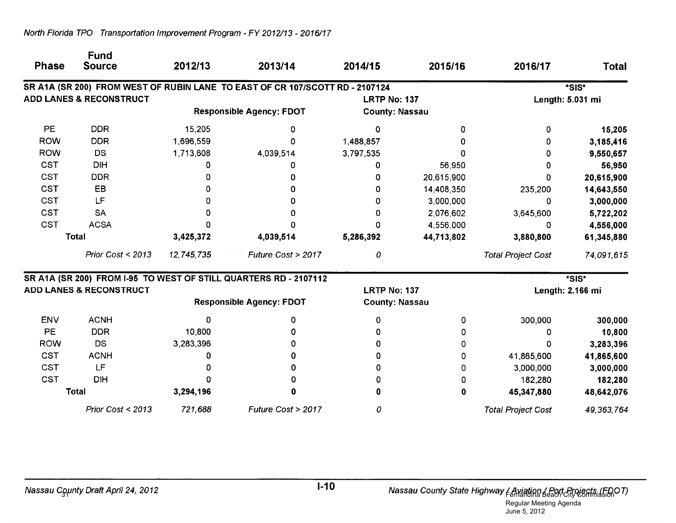| <b>Phase</b> | <b>Source</b>                      | 2012/13    | 2013/14                                                                      | 2014/15               | 2015/16    | 2016/17                   | <b>Total</b>     |
|--------------|------------------------------------|------------|------------------------------------------------------------------------------|-----------------------|------------|---------------------------|------------------|
|              |                                    |            | SR A1A (SR 200) FROM WEST OF RUBIN LANE TO EAST OF CR 107/SCOTT RD - 2107124 |                       |            |                           | *SIS*            |
|              | <b>ADD LANES &amp; RECONSTRUCT</b> |            |                                                                              | <b>LRTP No: 137</b>   |            |                           | Length: 5.031 mi |
|              |                                    |            | <b>Responsible Agency: FDOT</b>                                              | <b>County: Nassau</b> |            |                           |                  |
| PE           | <b>DDR</b>                         | 15,205     | O                                                                            | 0                     | Ω          | 0                         | 15,205           |
| <b>ROW</b>   | <b>DDR</b>                         | 1,696,559  |                                                                              | 1,488,857             |            |                           | 3,185,416        |
| <b>ROW</b>   | <b>DS</b>                          | 1,713,608  | 4,039,514                                                                    | 3,797,535             |            |                           | 9,550,657        |
| <b>CST</b>   | <b>DIH</b>                         |            |                                                                              |                       | 56,950     |                           | 56,950           |
| <b>CST</b>   | <b>DDR</b>                         |            |                                                                              |                       | 20,615,900 | O                         | 20,615,900       |
| <b>CST</b>   | EB                                 |            |                                                                              |                       | 14,408,350 | 235,200                   | 14,643,550       |
| <b>CST</b>   | LF                                 |            |                                                                              |                       | 3,000,000  | O                         | 3,000,000        |
| <b>CST</b>   | <b>SA</b>                          |            |                                                                              |                       | 2,076,602  | 3,645,600                 | 5,722,202        |
| <b>CST</b>   | <b>ACSA</b>                        |            |                                                                              |                       | 4,556,000  | 0                         | 4,556,000        |
|              | <b>Total</b>                       | 3,425,372  | 4,039,514                                                                    | 5,286,392             | 44,713,802 | 3,880,800                 | 61,345,880       |
|              | Prior Cost < 2013                  | 12,745,735 | Future Cost > 2017                                                           | 0                     |            | <b>Total Project Cost</b> | 74,091,615       |
|              |                                    |            | SR A1A (SR 200) FROM I-95 TO WEST OF STILL QUARTERS RD - 2107112             |                       |            |                           | *SIS*            |
|              | <b>ADD LANES &amp; RECONSTRUCT</b> |            |                                                                              | <b>LRTP No: 137</b>   |            | Length: 2.166 mi          |                  |
|              |                                    |            | <b>Responsible Agency: FDOT</b>                                              | <b>County: Nassau</b> |            |                           |                  |
| <b>ENV</b>   | <b>ACNH</b>                        |            |                                                                              |                       | 0          | 300,000                   | 300,000          |
| PE           | <b>DDR</b>                         | 10,800     |                                                                              |                       | 0          | <sup>0</sup>              | 10,800           |
| <b>ROW</b>   | <b>DS</b>                          | 3,283,396  |                                                                              |                       | 0          | O                         | 3,283,396        |
| CST          | <b>ACNH</b>                        | n          | O                                                                            |                       | 0          | 41,865,600                | 41,865,600       |
| <b>CST</b>   | LF                                 |            | O                                                                            |                       | 0          | 3,000,000                 | 3,000,000        |
| <b>CST</b>   | <b>DIH</b>                         |            | o                                                                            |                       | 0          | 182,280                   | 182,280          |
|              | <b>Total</b>                       | 3,294,196  |                                                                              |                       | $\pmb{0}$  | 45,347,880                | 48,642,076       |
|              | Prior Cost < 2013                  | 721,688    | Future Cost > 2017                                                           | 0                     |            | <b>Total Project Cost</b> | 49, 363, 764     |

**Fund**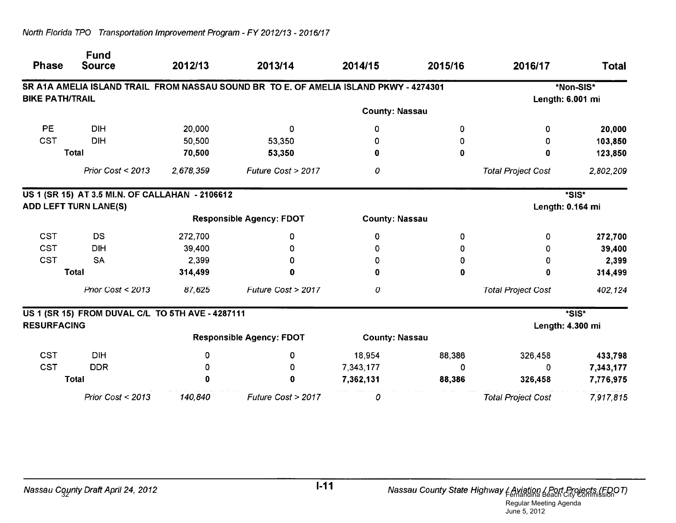| <b>Phase</b>           | <b>Fund</b><br><b>Source</b>                     | 2012/13   | 2013/14                                                                               | 2014/15               | 2015/16     | 2016/17                   | <b>Total</b> |
|------------------------|--------------------------------------------------|-----------|---------------------------------------------------------------------------------------|-----------------------|-------------|---------------------------|--------------|
|                        |                                                  |           | SR A1A AMELIA ISLAND TRAIL FROM NASSAU SOUND BR TO E. OF AMELIA ISLAND PKWY - 4274301 |                       |             |                           | *Non-SIS*    |
| <b>BIKE PATH/TRAIL</b> |                                                  |           |                                                                                       |                       |             | Length: 6.001 mi          |              |
|                        |                                                  |           |                                                                                       | <b>County: Nassau</b> |             |                           |              |
| PE                     | <b>DIH</b>                                       | 20,000    | 0                                                                                     | 0                     | 0           | 0                         | 20,000       |
| <b>CST</b>             | <b>DIH</b>                                       | 50,500    | 53,350                                                                                | n                     | 0           | 0                         | 103,850      |
|                        | <b>Total</b>                                     | 70,500    | 53,350                                                                                | 0                     | 0           | 0                         | 123,850      |
|                        | Prior Cost < 2013                                | 2,678,359 | Future Cost > 2017                                                                    | 0                     |             | <b>Total Project Cost</b> | 2,802,209    |
|                        | US 1 (SR 15) AT 3.5 MI.N. OF CALLAHAN - 2106612  |           |                                                                                       |                       |             |                           | *SIS*        |
|                        | <b>ADD LEFT TURN LANE(S)</b>                     |           |                                                                                       |                       |             | Length: 0.164 mi          |              |
|                        |                                                  |           | <b>Responsible Agency: FDOT</b>                                                       | <b>County: Nassau</b> |             |                           |              |
| <b>CST</b>             | DS                                               | 272,700   | 0                                                                                     | 0                     | 0           | 0                         | 272,700      |
| CST                    | <b>DIH</b>                                       | 39,400    | 0                                                                                     | 0                     | 0           | 0                         | 39,400       |
| <b>CST</b>             | <b>SA</b>                                        | 2,399     | 0                                                                                     | n                     | 0           | 0                         | 2,399        |
|                        | <b>Total</b>                                     | 314,499   | 0                                                                                     | Ω                     | $\mathbf 0$ | 0                         | 314,499      |
|                        | Prior Cost < 2013                                | 87,625    | Future Cost > 2017                                                                    | 0                     |             | <b>Total Project Cost</b> | 402,124      |
|                        | US 1 (SR 15) FROM DUVAL C/L TO 5TH AVE - 4287111 |           |                                                                                       |                       |             |                           | *SIS*        |
| <b>RESURFACING</b>     |                                                  |           |                                                                                       |                       |             | Length: 4.300 mi          |              |
|                        |                                                  |           | <b>Responsible Agency: FDOT</b>                                                       | <b>County: Nassau</b> |             |                           |              |
| <b>CST</b>             | <b>DIH</b>                                       | 0         | 0                                                                                     | 18,954                | 88,386      | 326,458                   | 433,798      |
| <b>CST</b>             | <b>DDR</b>                                       | 0         | 0                                                                                     | 7,343,177             | 0           | 0                         | 7,343,177    |
|                        | <b>Total</b>                                     |           | 0                                                                                     | 7,362,131             | 88,386      | 326,458                   | 7,776,975    |
|                        | Prior Cost < 2013                                | 140,840   | Future Cost > 2017                                                                    | 0                     |             | <b>Total Project Cost</b> | 7,917,815    |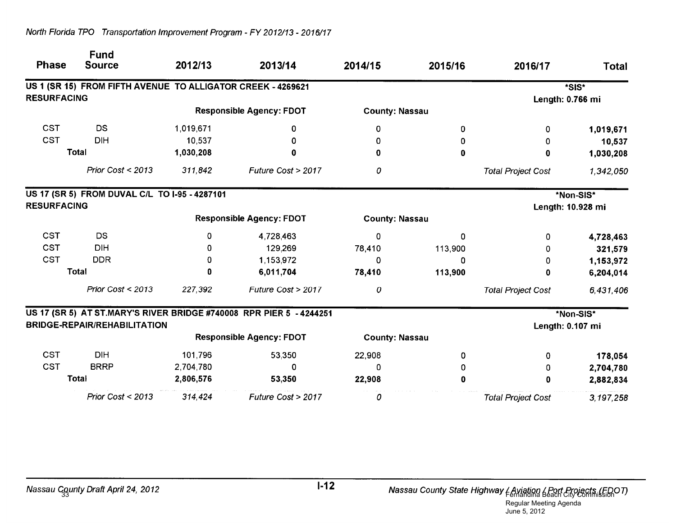| <b>Phase</b>       | <b>Fund</b><br><b>Source</b>                                | 2012/13   | 2013/14                                                             | 2014/15               | 2015/16  | 2016/17                   | <b>Total</b>      |
|--------------------|-------------------------------------------------------------|-----------|---------------------------------------------------------------------|-----------------------|----------|---------------------------|-------------------|
|                    | US 1 (SR 15) FROM FIFTH AVENUE TO ALLIGATOR CREEK - 4269621 |           |                                                                     |                       |          |                           | *SIS*             |
| <b>RESURFACING</b> |                                                             |           |                                                                     |                       |          | Length: 0.766 mi          |                   |
|                    |                                                             |           | <b>Responsible Agency: FDOT</b>                                     | <b>County: Nassau</b> |          |                           |                   |
| <b>CST</b>         | <b>DS</b>                                                   | 1,019,671 | 0                                                                   | 0                     | 0        | 0                         | 1,019,671         |
| <b>CST</b>         | <b>DIH</b>                                                  | 10,537    | 0                                                                   | O                     | 0        | 0                         | 10,537            |
| <b>Total</b>       |                                                             | 1,030,208 | Ω                                                                   | 0                     | $\bf{0}$ | 0                         | 1,030,208         |
|                    | Prior Cost < 2013                                           | 311,842   | Future Cost > 2017                                                  | 0                     |          | <b>Total Project Cost</b> | 1,342,050         |
|                    | US 17 (SR 5) FROM DUVAL C/L TO I-95 - 4287101               |           |                                                                     |                       |          |                           | *Non-SIS*         |
| <b>RESURFACING</b> |                                                             |           |                                                                     |                       |          |                           | Length: 10.928 mi |
|                    |                                                             |           | <b>Responsible Agency: FDOT</b>                                     | <b>County: Nassau</b> |          |                           |                   |
| <b>CST</b>         | <b>DS</b>                                                   | $\Omega$  | 4,728,463                                                           | 0                     | 0        | 0                         | 4,728,463         |
| <b>CST</b>         | <b>DIH</b>                                                  | 0         | 129,269                                                             | 78,410                | 113,900  | 0                         | 321,579           |
| <b>CST</b>         | <b>DDR</b>                                                  | 0         | 1,153,972                                                           | 0                     | 0        | 0                         | 1,153,972         |
| <b>Total</b>       |                                                             | 0         | 6,011,704                                                           | 78,410                | 113,900  | 0                         | 6,204,014         |
|                    | Prior Cost $<$ 2013                                         | 227,392   | Future Cost > 2017                                                  | 0                     |          | <b>Total Project Cost</b> | 6,431,406         |
|                    |                                                             |           | US 17 (SR 5) AT ST.MARY'S RIVER BRIDGE #740008 RPR PIER 5 - 4244251 |                       |          |                           | *Non-SIS*         |
|                    | <b>BRIDGE-REPAIR/REHABILITATION</b>                         |           |                                                                     |                       |          | Length: 0.107 mi          |                   |
|                    |                                                             |           | <b>Responsible Agency: FDOT</b>                                     | <b>County: Nassau</b> |          |                           |                   |
| <b>CST</b>         | <b>DIH</b>                                                  | 101,796   | 53,350                                                              | 22,908                | 0        | 0                         | 178,054           |
| <b>CST</b>         | <b>BRRP</b>                                                 | 2,704,780 | $\Omega$                                                            | 0                     | 0        | 0                         | 2,704,780         |
|                    | Total                                                       | 2,806,576 | 53,350                                                              | 22,908                | 0        | $\bf{0}$                  | 2,882,834         |
|                    | Prior $Cost < 2013$                                         | 314,424   | Future Cost > 2017                                                  | 0                     |          | <b>Total Project Cost</b> | 3,197,258         |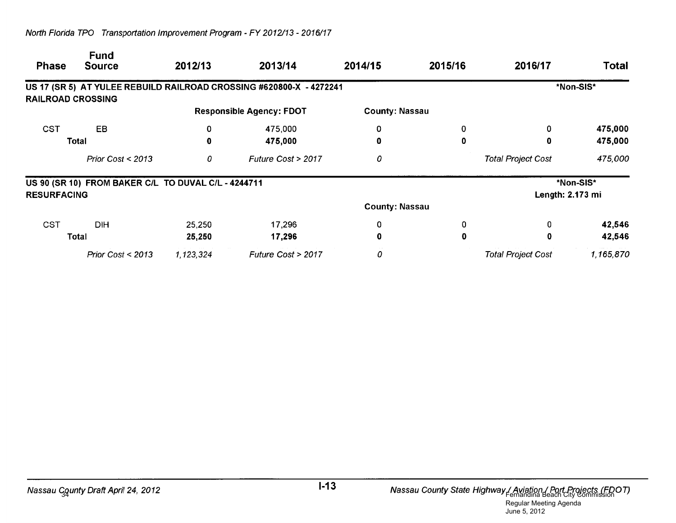| <b>Phase</b>             | <b>Fund</b><br><b>Source</b>                        | 2012/13   | 2013/14                                                             | 2014/15               | 2015/16          | 2016/17                   | <b>Total</b> |
|--------------------------|-----------------------------------------------------|-----------|---------------------------------------------------------------------|-----------------------|------------------|---------------------------|--------------|
|                          |                                                     |           | US 17 (SR 5) AT YULEE REBUILD RAILROAD CROSSING #620800-X - 4272241 |                       |                  |                           | *Non-SIS*    |
| <b>RAILROAD CROSSING</b> |                                                     |           |                                                                     |                       |                  |                           |              |
|                          |                                                     |           | <b>Responsible Agency: FDOT</b>                                     | <b>County: Nassau</b> |                  |                           |              |
| <b>CST</b>               | <b>EB</b>                                           | 0         | 475,000                                                             | 0                     | 0                | 0                         | 475,000      |
| Total                    |                                                     | 0         | 475,000                                                             | 0                     | 0                | 0                         | 475,000      |
|                          | Prior Cost $<$ 2013                                 | 0         | Future Cost > 2017                                                  | 0                     |                  | <b>Total Project Cost</b> | 475,000      |
|                          | US 90 (SR 10) FROM BAKER C/L TO DUVAL C/L - 4244711 |           |                                                                     |                       |                  |                           | *Non-SIS*    |
| <b>RESURFACING</b>       |                                                     |           |                                                                     |                       | Length: 2.173 mi |                           |              |
|                          |                                                     |           |                                                                     | <b>County: Nassau</b> |                  |                           |              |
| <b>CST</b>               | <b>DIH</b>                                          | 25,250    | 17,296                                                              | 0                     | 0                | 0                         | 42,546       |
|                          | Total                                               | 25,250    | 17,296                                                              | 0                     | 0                | 0                         | 42,546       |
|                          | Prior Cost $<$ 2013                                 | 1,123,324 | Future Cost > 2017                                                  | 0                     |                  | <b>Total Project Cost</b> | 1,165,870    |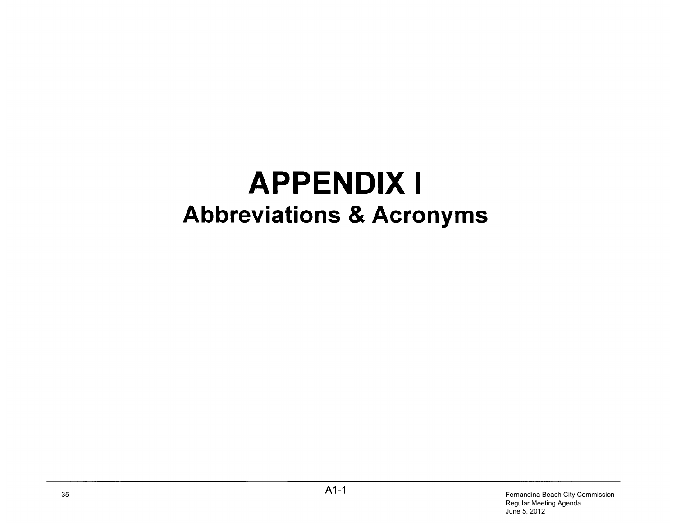# **APPENDIX I Abbreviations & Acronyms**

35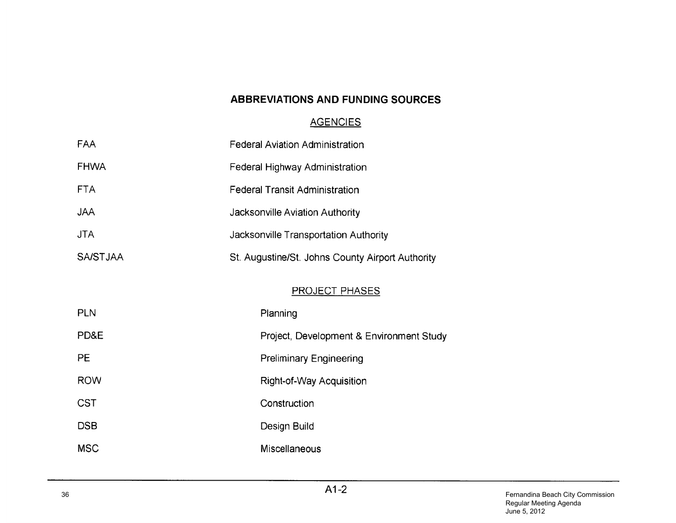### **ABBREVIATIONS AND FUNDING SOURCES**

## **AGENCIES**

| FAA             | <b>Federal Aviation Administration</b>           |
|-----------------|--------------------------------------------------|
| <b>FHWA</b>     | Federal Highway Administration                   |
| <b>FTA</b>      | <b>Federal Transit Administration</b>            |
| <b>JAA</b>      | Jacksonville Aviation Authority                  |
| <b>JTA</b>      | Jacksonville Transportation Authority            |
| <b>SA/STJAA</b> | St. Augustine/St. Johns County Airport Authority |
|                 | <b>PROJECT PHASES</b>                            |
| <b>PLN</b>      | Planning                                         |
| PD&E            | Project, Development & Environment Study         |
| PE              | <b>Preliminary Engineering</b>                   |
| <b>ROW</b>      | Right-of-Way Acquisition                         |
| <b>CST</b>      | Construction                                     |
| <b>DSB</b>      | Design Build                                     |
| <b>MSC</b>      | Miscellaneous                                    |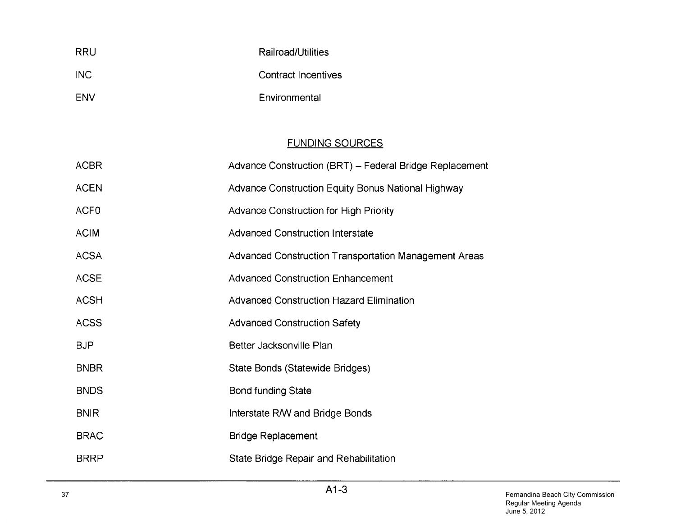| <b>RRU</b> | Railroad/Utilities  |
|------------|---------------------|
| <b>INC</b> | Contract Incentives |
| <b>FNV</b> | Environmental       |

## **FUNDING SOURCES**

| <b>ACBR</b>      | Advance Construction (BRT) – Federal Bridge Replacement |
|------------------|---------------------------------------------------------|
| <b>ACEN</b>      | Advance Construction Equity Bonus National Highway      |
| ACF <sub>0</sub> | <b>Advance Construction for High Priority</b>           |
| <b>ACIM</b>      | <b>Advanced Construction Interstate</b>                 |
| <b>ACSA</b>      | Advanced Construction Transportation Management Areas   |
| <b>ACSE</b>      | <b>Advanced Construction Enhancement</b>                |
| <b>ACSH</b>      | <b>Advanced Construction Hazard Elimination</b>         |
| <b>ACSS</b>      | <b>Advanced Construction Safety</b>                     |
| <b>BJP</b>       | Better Jacksonville Plan                                |
| <b>BNBR</b>      | State Bonds (Statewide Bridges)                         |
| <b>BNDS</b>      | <b>Bond funding State</b>                               |
| <b>BNIR</b>      | Interstate R/W and Bridge Bonds                         |
| <b>BRAC</b>      | <b>Bridge Replacement</b>                               |
| <b>BRRP</b>      | State Bridge Repair and Rehabilitation                  |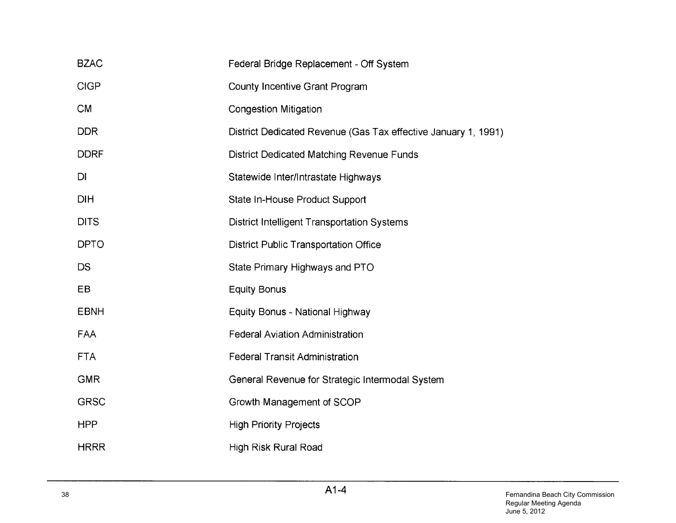| <b>BZAC</b> | Federal Bridge Replacement - Off System                        |
|-------------|----------------------------------------------------------------|
| <b>CIGP</b> | <b>County Incentive Grant Program</b>                          |
| <b>CM</b>   | <b>Congestion Mitigation</b>                                   |
| <b>DDR</b>  | District Dedicated Revenue (Gas Tax effective January 1, 1991) |
| <b>DDRF</b> | District Dedicated Matching Revenue Funds                      |
| DI          | Statewide Inter/Intrastate Highways                            |
| <b>DIH</b>  | State In-House Product Support                                 |
| <b>DITS</b> | <b>District Intelligent Transportation Systems</b>             |
| <b>DPTO</b> | <b>District Public Transportation Office</b>                   |
| <b>DS</b>   | State Primary Highways and PTO                                 |
| EB          | <b>Equity Bonus</b>                                            |
| <b>EBNH</b> | Equity Bonus - National Highway                                |
| FAA         | <b>Federal Aviation Administration</b>                         |
| <b>FTA</b>  | <b>Federal Transit Administration</b>                          |
| <b>GMR</b>  | General Revenue for Strategic Intermodal System                |
| <b>GRSC</b> | Growth Management of SCOP                                      |
| <b>HPP</b>  | <b>High Priority Projects</b>                                  |
| <b>HRRR</b> | <b>High Risk Rural Road</b>                                    |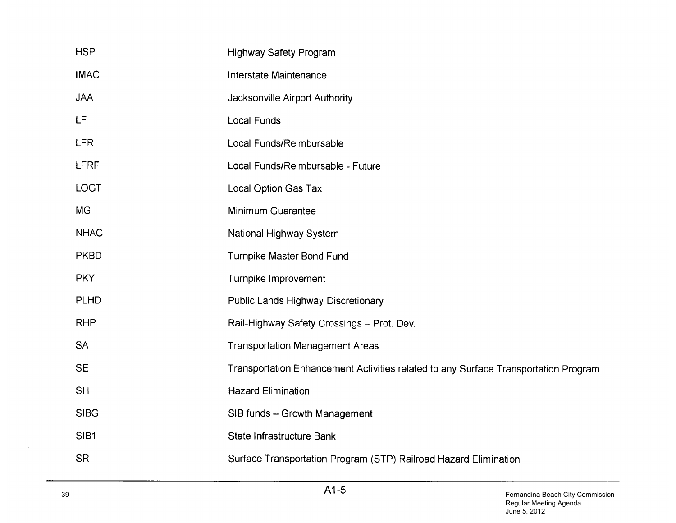| <b>HSP</b>  | <b>Highway Safety Program</b>                                                       |
|-------------|-------------------------------------------------------------------------------------|
| <b>IMAC</b> | Interstate Maintenance                                                              |
| <b>JAA</b>  | Jacksonville Airport Authority                                                      |
| LF          | <b>Local Funds</b>                                                                  |
| <b>LFR</b>  | Local Funds/Reimbursable                                                            |
| LFRF        | Local Funds/Reimbursable - Future                                                   |
| <b>LOGT</b> | Local Option Gas Tax                                                                |
| <b>MG</b>   | Minimum Guarantee                                                                   |
| <b>NHAC</b> | National Highway System                                                             |
| <b>PKBD</b> | Turnpike Master Bond Fund                                                           |
| <b>PKYI</b> | Turnpike Improvement                                                                |
| <b>PLHD</b> | Public Lands Highway Discretionary                                                  |
| <b>RHP</b>  | Rail-Highway Safety Crossings - Prot. Dev.                                          |
| <b>SA</b>   | <b>Transportation Management Areas</b>                                              |
| <b>SE</b>   | Transportation Enhancement Activities related to any Surface Transportation Program |
| <b>SH</b>   | <b>Hazard Elimination</b>                                                           |
| <b>SIBG</b> | SIB funds - Growth Management                                                       |
| SIB1        | State Infrastructure Bank                                                           |
| <b>SR</b>   | Surface Transportation Program (STP) Railroad Hazard Elimination                    |